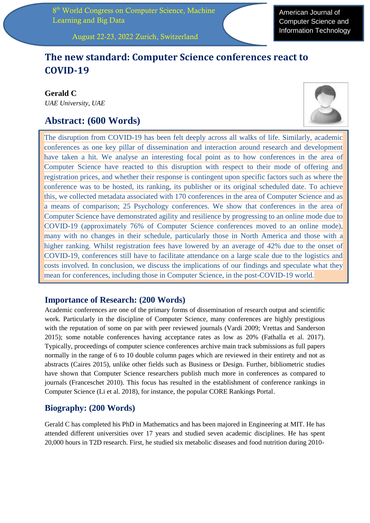8<sup>th</sup> World Congress on Computer Science, Machine Learning and Big Data

American Journal of Computer Science and Information Technology

August 22-23, 2022 Zurich, Switzerland

# **The new standard: Computer Science conferences react to COVID-19**

**Gerald C** *UAE University, UAE*

# **Abstract: (600 Words)**



The disruption from COVID-19 has been felt deeply across all walks of life. Similarly, academic conferences as one key pillar of dissemination and interaction around research and development have taken a hit. We analyse an interesting focal point as to how conferences in the area of Computer Science have reacted to this disruption with respect to their mode of offering and registration prices, and whether their response is contingent upon specific factors such as where the conference was to be hosted, its ranking, its publisher or its original scheduled date. To achieve this, we collected metadata associated with 170 conferences in the area of Computer Science and as a means of comparison; 25 Psychology conferences. We show that conferences in the area of Computer Science have demonstrated agility and resilience by progressing to an online mode due to COVID-19 (approximately 76% of Computer Science conferences moved to an online mode), many with no changes in their schedule, particularly those in North America and those with a higher ranking. Whilst registration fees have lowered by an average of 42% due to the onset of COVID-19, conferences still have to facilitate attendance on a large scale due to the logistics and costs involved. In conclusion, we discuss the implications of our findings and speculate what they mean for conferences, including those in Computer Science, in the post-COVID-19 world.

## **Importance of Research: (200 Words)**

Academic conferences are one of the primary forms of dissemination of research output and scientific work. Particularly in the discipline of Computer Science, many conferences are highly prestigious with the reputation of some on par with peer reviewed journals (Vardi 2009; Vrettas and Sanderson 2015); some notable conferences having acceptance rates as low as 20% (Fathalla et al. 2017). Typically, proceedings of computer science conferences archive main track submissions as full papers normally in the range of 6 to 10 double column pages which are reviewed in their entirety and not as abstracts (Caires 2015), unlike other fields such as Business or Design. Further, bibliometric studies have shown that Computer Science researchers publish much more in conferences as compared to journals (Franceschet 2010). This focus has resulted in the establishment of conference rankings in Computer Science (Li et al. 2018), for instance, the popular CORE Rankings Portal.

## **Biography: (200 Words)**

Gerald C has completed his PhD in Mathematics and has been majored in Engineering at MIT. He has attended different universities over 17 years and studied seven academic disciplines. He has spent 20,000 hours in T2D research. First, he studied six metabolic diseases and food nutrition during 2010